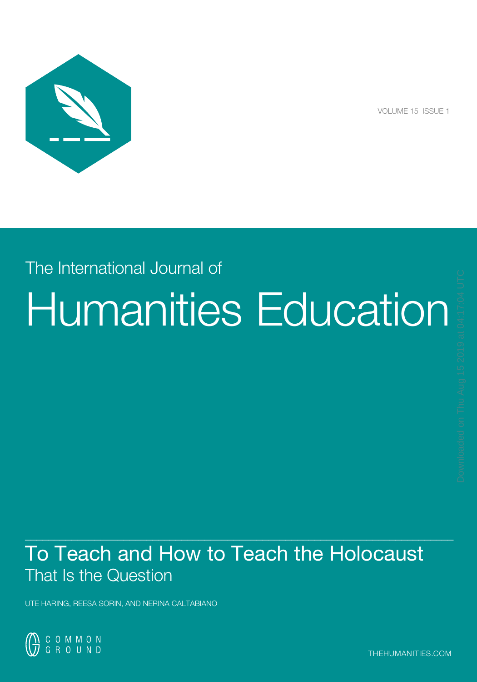

VOLUME 15 ISSUE 1

# The International Journal of Humanities Education

## $\mathcal{L}_\mathcal{L}$  , and the set of the set of the set of the set of the set of the set of the set of the set of the set of the set of the set of the set of the set of the set of the set of the set of the set of the set of th To Teach and How to Teach the Holocaust That Is the Question

UTE HARING, REESA SORIN, AND NERINA CALTABIANO

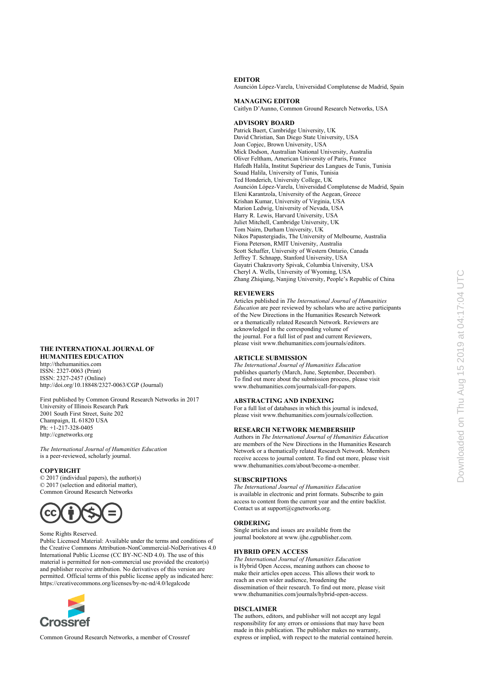#### **EDITOR**

Asunción López-Varela, Universidad Complutense de Madrid, Spain

**MANAGING EDITOR** 

Caitlyn D'Aunno, Common Ground Research Networks, USA

#### **ADVISORY BOARD**

Patrick Baert, Cambridge University, UK David Christian, San Diego State University, USA Joan Copjec, Brown University, USA Mick Dodson, Australian National University, Australia Oliver Feltham, American University of Paris, France Hafedh Halila, Institut Supérieur des Langues de Tunis, Tunisia Souad Halila, University of Tunis, Tunisia Ted Honderich, University College, UK Asunción López-Varela, Universidad Complutense de Madrid, Spain Eleni Karantzola, University of the Aegean, Greece Krishan Kumar, University of Virginia, USA Marion Ledwig, University of Nevada, USA Harry R. Lewis, Harvard University, USA Juliet Mitchell, Cambridge University, UK Tom Nairn, Durham University, UK Nikos Papastergiadis, The University of Melbourne, Australia Fiona Peterson, RMIT University, Australia Scott Schaffer, University of Western Ontario, Canada Jeffrey T. Schnapp, Stanford University, USA Gayatri Chakravorty Spivak, Columbia University, USA Cheryl A. Wells, University of Wyoming, USA Zhang Zhiqiang, Nanjing University, People's Republic of China

#### **REVIEWERS**

Articles published in *The International Journal of Humanities Education* are peer reviewed by scholars who are active participants of the New Directions in the Humanities Research Network or a thematically related Research Network. Reviewers are acknowledged in the corresponding volume of the journal. For a full list of past and current Reviewers, please visit www.thehumanities.com/journals/editors.

#### **ARTICLE SUBMISSION**

*The International Journal of Humanities Education*  publishes quarterly (March, June, September, December). To find out more about the submission process, please visit www.thehumanities.com/journals/call-for-papers.

#### **ABSTRACTING AND INDEXING**

For a full list of databases in which this journal is indexed, please visit www.thehumanities.com/journals/collection.

#### **RESEARCH NETWORK MEMBERSHIP**

Authors in *The International Journal of Humanities Education*  are members of the New Directions in the Humanities Research Network or a thematically related Research Network. Members receive access to journal content. To find out more, please visit www.thehumanities.com/about/become-a-member.

#### **SUBSCRIPTIONS**

*The International Journal of Humanities Education* is available in electronic and print formats. Subscribe to gain access to content from the current year and the entire backlist. Contact us at support@cgnetworks.org.

#### **ORDERING**

Single articles and issues are available from the journal bookstore at www*.*ijhe.cgpublisher.com.

#### **HYBRID OPEN ACCESS**

*The International Journal of Humanities Education*  is Hybrid Open Access, meaning authors can choose to make their articles open access. This allows their work to reach an even wider audience, broadening the dissemination of their research. To find out more, please visit www.thehumanities.com/journals/hybrid-open-access.

#### **DISCLAIMER**

The authors, editors, and publisher will not accept any legal responsibility for any errors or omissions that may have been made in this publication. The publisher makes no warranty, express or implied, with respect to the material contained herein.

#### **THE INTERNATIONAL JOURNAL OF HUMANITIES EDUCATION**

http://thehumanities.com ISSN: 2327-0063 (Print) ISSN: 2327-2457 (Online) http://doi.org/10.18848/2327-0063/CGP (Journal)

First published by Common Ground Research Networks in 2017 University of Illinois Research Park 2001 South First Street, Suite 202 [Champaign, IL 61820 USA](http://doi.org/10.18848/2327-0063/CGP)  Ph: +1-217-328-0405 http://cgnetworks.org

*The International Journal of Humanities Education* is a peer-reviewed, scholarly journal.

#### **COPYRIGHT**

© 2017 (individual papers), the author(s) © 2017 (selection and editorial matter), Common Ground Research Networks



#### Some Rights Reserved.

Public Licensed Material: Available under the terms and conditions of the Creative Commons Attribution-NonCommercial-NoDerivatives 4.0 International Public License (CC BY-NC-ND 4.0). The use of this material is permitted for non-commercial use provided the creator(s) and publisher receive attribution. No derivatives of this version are [permitted. Official terms o](mailto:support@cgnetworks.org)f this public license apply as indicated here: https://creativecommons.org/licenses/by-nc-nd/4.0/legalcode



Common Ground Research Networks, a member of Crossref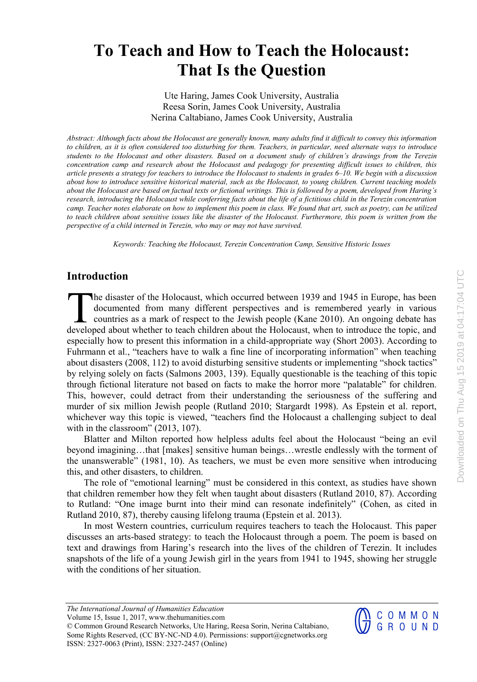Ute Haring, James Cook University, Australia Reesa Sorin, James Cook University, Australia Nerina Caltabiano, James Cook University, Australia

*Abstract: Although facts about the Holocaust are generally known, many adults find it difficult to convey this information to children, as it is often considered too disturbing for them. Teachers, in particular, need alternate ways to introduce students to the Holocaust and other disasters. Based on a document study of children's drawings from the Terezin concentration camp and research about the Holocaust and pedagogy for presenting difficult issues to children, this article presents a strategy for teachers to introduce the Holocaust to students in grades 6–10. We begin with a discussion about how to introduce sensitive historical material, such as the Holocaust, to young children. Current teaching models about the Holocaust are based on factual texts or fictional writings. This is followed by a poem, developed from Haring's research, introducing the Holocaust while conferring facts about the life of a fictitious child in the Terezin concentration camp. Teacher notes elaborate on how to implement this poem in class. We found that art, such as poetry, can be utilized*  to teach children about sensitive issues like the disaster of the Holocaust. Furthermore, this poem is written from the *perspective of a child interned in Terezin, who may or may not have survived.* 

*Keywords: Teaching the Holocaust, Terezin Concentration Camp, Sensitive Historic Issues* 

## **Introduction**

**The disaster of the Holocaust, which occurred between 1939 and 1945 in Europe, has been** documented from many different perspectives and is remembered yearly in various countries as a mark of respect to the Jewish people (Kane 2010). An ongoing debate has The disaster of the Holocaust, which occurred between 1939 and 1945 in Europe, has been documented from many different perspectives and is remembered yearly in various countries as a mark of respect to the Jewish people (K especially how to present this information in a child-appropriate way (Short 2003). According to Fuhrmann et al., "teachers have to walk a fine line of incorporating information" when teaching about disasters (2008, 112) to avoid disturbing sensitive students or implementing "shock tactics" by relying solely on facts (Salmons 2003, 139). Equally questionable is the teaching of this topic through fictional literature not based on facts to make the horror more "palatable" for children. This, however, could detract from their understanding the seriousness of the suffering and murder of six million Jewish people (Rutland 2010; Stargardt 1998). As Epstein et al. report, whichever way this topic is viewed, "teachers find the Holocaust a challenging subject to deal with in the classroom" (2013, 107).

Blatter and Milton reported how helpless adults feel about the Holocaust "being an evil beyond imagining…that [makes] sensitive human beings…wrestle endlessly with the torment of the unanswerable" (1981, 10). As teachers, we must be even more sensitive when introducing this, and other disasters, to children.

The role of "emotional learning" must be considered in this context, as studies have shown that children remember how they felt when taught about disasters (Rutland 2010, 87). According to Rutland: "One image burnt into their mind can resonate indefinitely" (Cohen, as cited in Rutland 2010, 87), thereby causing lifelong trauma (Epstein et al. 2013).

In most Western countries, curriculum requires teachers to teach the Holocaust. This paper discusses an arts-based strategy: to teach the Holocaust through a poem. The poem is based on text and drawings from Haring's research into the lives of the children of Terezin. It includes snapshots of the life of a young Jewish girl in the years from 1941 to 1945, showing her struggle with the conditions of her situation.

COMMON<br>GROUND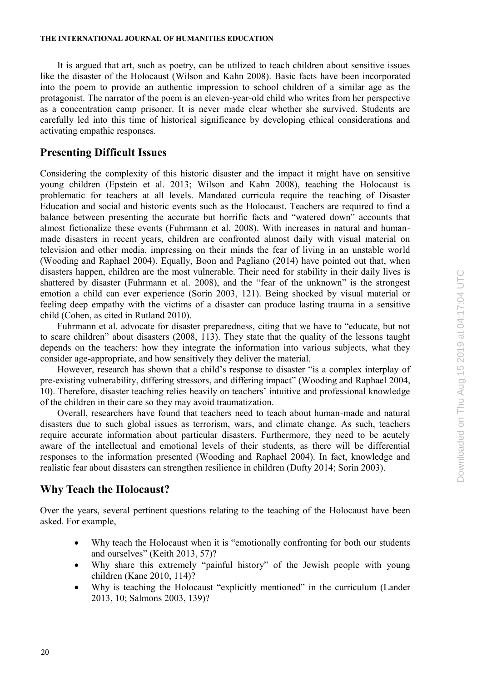#### **THE INTERNATIONAL JOURNAL OF HUMANITIES EDUCATION**

It is argued that art, such as poetry, can be utilized to teach children about sensitive issues like the disaster of the Holocaust (Wilson and Kahn 2008). Basic facts have been incorporated into the poem to provide an authentic impression to school children of a similar age as the protagonist. The narrator of the poem is an eleven-year-old child who writes from her perspective as a concentration camp prisoner. It is never made clear whether she survived. Students are carefully led into this time of historical significance by developing ethical considerations and activating empathic responses.

## **Presenting Difficult Issues**

Considering the complexity of this historic disaster and the impact it might have on sensitive young children (Epstein et al. 2013; Wilson and Kahn 2008), teaching the Holocaust is problematic for teachers at all levels. Mandated curricula require the teaching of Disaster Education and social and historic events such as the Holocaust. Teachers are required to find a balance between presenting the accurate but horrific facts and "watered down" accounts that almost fictionalize these events (Fuhrmann et al. 2008). With increases in natural and humanmade disasters in recent years, children are confronted almost daily with visual material on television and other media, impressing on their minds the fear of living in an unstable world (Wooding and Raphael 2004). Equally, Boon and Pagliano (2014) have pointed out that, when disasters happen, children are the most vulnerable. Their need for stability in their daily lives is shattered by disaster (Fuhrmann et al. 2008), and the "fear of the unknown" is the strongest emotion a child can ever experience (Sorin 2003, 121). Being shocked by visual material or feeling deep empathy with the victims of a disaster can produce lasting trauma in a sensitive child (Cohen, as cited in Rutland 2010).

Fuhrmann et al. advocate for disaster preparedness, citing that we have to "educate, but not to scare children" about disasters (2008, 113). They state that the quality of the lessons taught depends on the teachers: how they integrate the information into various subjects, what they consider age-appropriate, and how sensitively they deliver the material.

However, research has shown that a child's response to disaster "is a complex interplay of pre-existing vulnerability, differing stressors, and differing impact" (Wooding and Raphael 2004, 10). Therefore, disaster teaching relies heavily on teachers' intuitive and professional knowledge of the children in their care so they may avoid traumatization.

Overall, researchers have found that teachers need to teach about human-made and natural disasters due to such global issues as terrorism, wars, and climate change. As such, teachers require accurate information about particular disasters. Furthermore, they need to be acutely aware of the intellectual and emotional levels of their students, as there will be differential responses to the information presented (Wooding and Raphael 2004). In fact, knowledge and realistic fear about disasters can strengthen resilience in children (Dufty 2014; Sorin 2003).

## **Why Teach the Holocaust?**

Over the years, several pertinent questions relating to the teaching of the Holocaust have been asked. For example,

- Why teach the Holocaust when it is "emotionally confronting for both our students and ourselves" (Keith 2013, 57)?
- Why share this extremely "painful history" of the Jewish people with young children (Kane 2010, 114)?
- Why is teaching the Holocaust "explicitly mentioned" in the curriculum (Lander 2013, 10; Salmons 2003, 139)?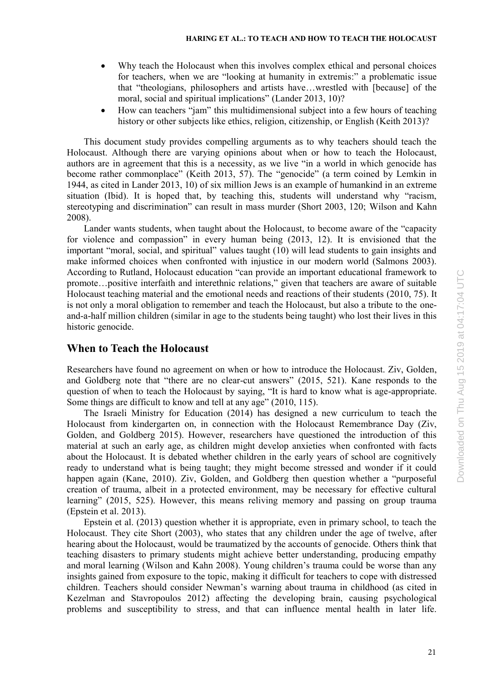- Why teach the Holocaust when this involves complex ethical and personal choices for teachers, when we are "looking at humanity in extremis:" a problematic issue that "theologians, philosophers and artists have…wrestled with [because] of the moral, social and spiritual implications" (Lander 2013, 10)?
- How can teachers "jam" this multidimensional subject into a few hours of teaching history or other subjects like ethics, religion, citizenship, or English (Keith 2013)?

This document study provides compelling arguments as to why teachers should teach the Holocaust. Although there are varying opinions about when or how to teach the Holocaust, authors are in agreement that this is a necessity, as we live "in a world in which genocide has become rather commonplace" (Keith 2013, 57). The "genocide" (a term coined by Lemkin in 1944, as cited in Lander 2013, 10) of six million Jews is an example of humankind in an extreme situation (Ibid). It is hoped that, by teaching this, students will understand why "racism, stereotyping and discrimination" can result in mass murder (Short 2003, 120; Wilson and Kahn 2008).

Lander wants students, when taught about the Holocaust, to become aware of the "capacity for violence and compassion" in every human being (2013, 12). It is envisioned that the important "moral, social, and spiritual" values taught (10) will lead students to gain insights and make informed choices when confronted with injustice in our modern world (Salmons 2003). According to Rutland, Holocaust education "can provide an important educational framework to promote…positive interfaith and interethnic relations," given that teachers are aware of suitable Holocaust teaching material and the emotional needs and reactions of their students (2010, 75). It is not only a moral obligation to remember and teach the Holocaust, but also a tribute to the oneand-a-half million children (similar in age to the students being taught) who lost their lives in this historic genocide.

## **When to Teach the Holocaust**

Researchers have found no agreement on when or how to introduce the Holocaust. Ziv, Golden, and Goldberg note that "there are no clear-cut answers" (2015, 521). Kane responds to the question of when to teach the Holocaust by saying, "It is hard to know what is age-appropriate. Some things are difficult to know and tell at any age" (2010, 115).

The Israeli Ministry for Education (2014) has designed a new curriculum to teach the Holocaust from kindergarten on, in connection with the Holocaust Remembrance Day (Ziv, Golden, and Goldberg 2015). However, researchers have questioned the introduction of this material at such an early age, as children might develop anxieties when confronted with facts about the Holocaust. It is debated whether children in the early years of school are cognitively ready to understand what is being taught; they might become stressed and wonder if it could happen again (Kane, 2010). Ziv, Golden, and Goldberg then question whether a "purposeful creation of trauma, albeit in a protected environment, may be necessary for effective cultural learning" (2015, 525). However, this means reliving memory and passing on group trauma (Epstein et al. 2013).

Epstein et al. (2013) question whether it is appropriate, even in primary school, to teach the Holocaust. They cite Short (2003), who states that any children under the age of twelve, after hearing about the Holocaust, would be traumatized by the accounts of genocide. Others think that teaching disasters to primary students might achieve better understanding, producing empathy and moral learning (Wilson and Kahn 2008). Young children's trauma could be worse than any insights gained from exposure to the topic, making it difficult for teachers to cope with distressed children. Teachers should consider Newman's warning about trauma in childhood (as cited in Kezelman and Stavropoulos 2012) affecting the developing brain, causing psychological problems and susceptibility to stress, and that can influence mental health in later life.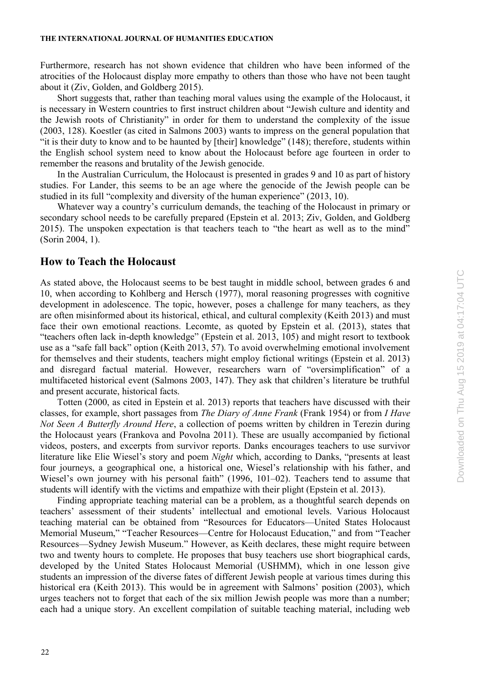#### **THE INTERNATIONAL JOURNAL OF HUMANITIES EDUCATION**

Furthermore, research has not shown evidence that children who have been informed of the atrocities of the Holocaust display more empathy to others than those who have not been taught about it (Ziv, Golden, and Goldberg 2015).

Short suggests that, rather than teaching moral values using the example of the Holocaust, it is necessary in Western countries to first instruct children about "Jewish culture and identity and the Jewish roots of Christianity" in order for them to understand the complexity of the issue (2003, 128). Koestler (as cited in Salmons 2003) wants to impress on the general population that "it is their duty to know and to be haunted by [their] knowledge" (148); therefore, students within the English school system need to know about the Holocaust before age fourteen in order to remember the reasons and brutality of the Jewish genocide.

In the Australian Curriculum, the Holocaust is presented in grades 9 and 10 as part of history studies. For Lander, this seems to be an age where the genocide of the Jewish people can be studied in its full "complexity and diversity of the human experience" (2013, 10).

Whatever way a country's curriculum demands, the teaching of the Holocaust in primary or secondary school needs to be carefully prepared (Epstein et al. 2013; Ziv, Golden, and Goldberg 2015). The unspoken expectation is that teachers teach to "the heart as well as to the mind" (Sorin 2004, 1).

## **How to Teach the Holocaust**

As stated above, the Holocaust seems to be best taught in middle school, between grades 6 and 10, when according to Kohlberg and Hersch (1977), moral reasoning progresses with cognitive development in adolescence. The topic, however, poses a challenge for many teachers, as they are often misinformed about its historical, ethical, and cultural complexity (Keith 2013) and must face their own emotional reactions. Lecomte, as quoted by Epstein et al. (2013), states that "teachers often lack in-depth knowledge" (Epstein et al. 2013, 105) and might resort to textbook use as a "safe fall back" option (Keith 2013, 57). To avoid overwhelming emotional involvement for themselves and their students, teachers might employ fictional writings (Epstein et al. 2013) and disregard factual material. However, researchers warn of "oversimplification" of a multifaceted historical event (Salmons 2003, 147). They ask that children's literature be truthful and present accurate, historical facts.

Totten (2000, as cited in Epstein et al. 2013) reports that teachers have discussed with their classes, for example, short passages from *The Diary of Anne Frank* (Frank 1954) or from *I Have Not Seen A Butterfly Around Here*, a collection of poems written by children in Terezin during the Holocaust years (Frankova and Povolna 2011). These are usually accompanied by fictional videos, posters, and excerpts from survivor reports. Danks encourages teachers to use survivor literature like Elie Wiesel's story and poem *Night* which, according to Danks, "presents at least four journeys, a geographical one, a historical one, Wiesel's relationship with his father, and Wiesel's own journey with his personal faith" (1996, 101–02). Teachers tend to assume that students will identify with the victims and empathize with their plight (Epstein et al. 2013).

Finding appropriate teaching material can be a problem, as a thoughtful search depends on teachers' assessment of their students' intellectual and emotional levels. Various Holocaust teaching material can be obtained from "Resources for Educators—United States Holocaust Memorial Museum," "Teacher Resources—Centre for Holocaust Education," and from "Teacher Resources—Sydney Jewish Museum." However, as Keith declares, these might require between two and twenty hours to complete. He proposes that busy teachers use short biographical cards, developed by the United States Holocaust Memorial (USHMM), which in one lesson give students an impression of the diverse fates of different Jewish people at various times during this historical era (Keith 2013). This would be in agreement with Salmons' position (2003), which urges teachers not to forget that each of the six million Jewish people was more than a number; each had a unique story. An excellent compilation of suitable teaching material, including web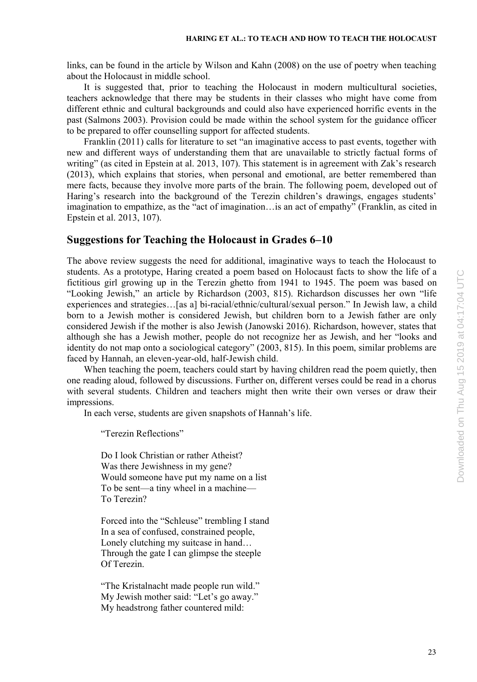links, can be found in the article by Wilson and Kahn (2008) on the use of poetry when teaching about the Holocaust in middle school.

It is suggested that, prior to teaching the Holocaust in modern multicultural societies, teachers acknowledge that there may be students in their classes who might have come from different ethnic and cultural backgrounds and could also have experienced horrific events in the past (Salmons 2003). Provision could be made within the school system for the guidance officer to be prepared to offer counselling support for affected students.

Franklin (2011) calls for literature to set "an imaginative access to past events, together with new and different ways of understanding them that are unavailable to strictly factual forms of writing" (as cited in Epstein at al. 2013, 107). This statement is in agreement with Zak's research (2013), which explains that stories, when personal and emotional, are better remembered than mere facts, because they involve more parts of the brain. The following poem, developed out of Haring's research into the background of the Terezin children's drawings, engages students' imagination to empathize, as the "act of imagination…is an act of empathy" (Franklin, as cited in Epstein et al. 2013, 107).

## **Suggestions for Teaching the Holocaust in Grades 6–10**

The above review suggests the need for additional, imaginative ways to teach the Holocaust to students. As a prototype, Haring created a poem based on Holocaust facts to show the life of a fictitious girl growing up in the Terezin ghetto from 1941 to 1945. The poem was based on "Looking Jewish," an article by Richardson (2003, 815). Richardson discusses her own "life experiences and strategies…[as a] bi-racial/ethnic/cultural/sexual person." In Jewish law, a child born to a Jewish mother is considered Jewish, but children born to a Jewish father are only considered Jewish if the mother is also Jewish (Janowski 2016). Richardson, however, states that although she has a Jewish mother, people do not recognize her as Jewish, and her "looks and identity do not map onto a sociological category" (2003, 815). In this poem, similar problems are faced by Hannah, an eleven-year-old, half-Jewish child.

When teaching the poem, teachers could start by having children read the poem quietly, then one reading aloud, followed by discussions. Further on, different verses could be read in a chorus with several students. Children and teachers might then write their own verses or draw their impressions.

In each verse, students are given snapshots of Hannah's life.

"Terezin Reflections"

Do I look Christian or rather Atheist? Was there Jewishness in my gene? Would someone have put my name on a list To be sent—a tiny wheel in a machine— To Terezin?

Forced into the "Schleuse" trembling I stand In a sea of confused, constrained people, Lonely clutching my suitcase in hand... Through the gate I can glimpse the steeple Of Terezin.

"The Kristalnacht made people run wild." My Jewish mother said: "Let's go away." My headstrong father countered mild: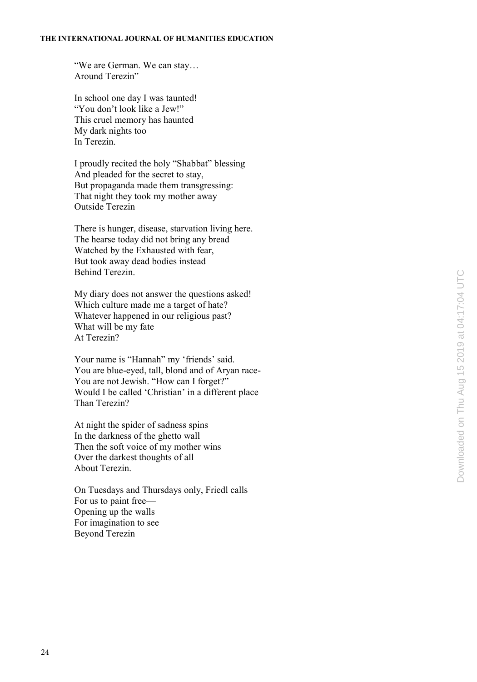"We are German. We can stay… Around Terezin"

In school one day I was taunted! "You don't look like a Jew!" This cruel memory has haunted My dark nights too In Terezin.

I proudly recited the holy "Shabbat" blessing And pleaded for the secret to stay, But propaganda made them transgressing: That night they took my mother away Outside Terezin

There is hunger, disease, starvation living here. The hearse today did not bring any bread Watched by the Exhausted with fear, But took away dead bodies instead Behind Terezin.

My diary does not answer the questions asked! Which culture made me a target of hate? Whatever happened in our religious past? What will be my fate At Terezin?

Your name is "Hannah" my 'friends' said. You are blue-eyed, tall, blond and of Aryan race-You are not Jewish. "How can I forget?" Would I be called 'Christian' in a different place Than Terezin?

At night the spider of sadness spins In the darkness of the ghetto wall Then the soft voice of my mother wins Over the darkest thoughts of all About Terezin.

On Tuesdays and Thursdays only, Friedl calls For us to paint free— Opening up the walls For imagination to see Beyond Terezin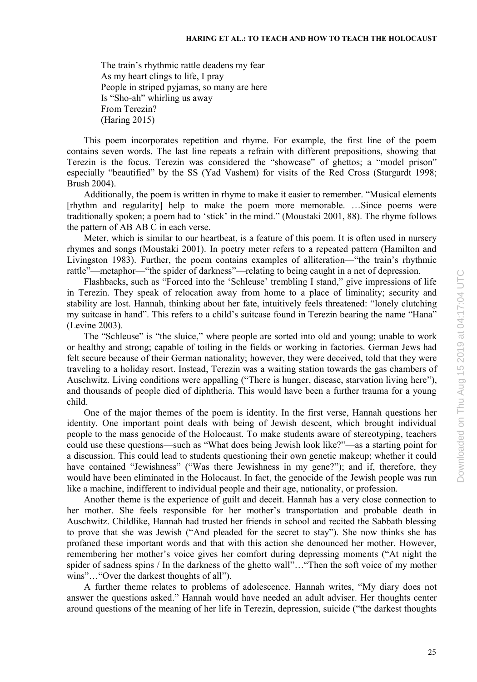The train's rhythmic rattle deadens my fear As my heart clings to life, I pray People in striped pyjamas, so many are here Is "Sho-ah" whirling us away From Terezin? (Haring 2015)

This poem incorporates repetition and rhyme. For example, the first line of the poem contains seven words. The last line repeats a refrain with different prepositions, showing that Terezin is the focus. Terezin was considered the "showcase" of ghettos; a "model prison" especially "beautified" by the SS (Yad Vashem) for visits of the Red Cross (Stargardt 1998; Brush 2004).

Additionally, the poem is written in rhyme to make it easier to remember. "Musical elements [rhythm and regularity] help to make the poem more memorable. …Since poems were traditionally spoken; a poem had to 'stick' in the mind." (Moustaki 2001, 88). The rhyme follows the pattern of AB AB C in each verse.

Meter, which is similar to our heartbeat, is a feature of this poem. It is often used in nursery rhymes and songs (Moustaki 2001). In poetry meter refers to a repeated pattern (Hamilton and Livingston 1983). Further, the poem contains examples of alliteration—"the train's rhythmic rattle"—metaphor—"the spider of darkness"—relating to being caught in a net of depression.

Flashbacks, such as "Forced into the 'Schleuse' trembling I stand," give impressions of life in Terezin. They speak of relocation away from home to a place of liminality; security and stability are lost. Hannah, thinking about her fate, intuitively feels threatened: "lonely clutching my suitcase in hand". This refers to a child's suitcase found in Terezin bearing the name "Hana" (Levine 2003).

The "Schleuse" is "the sluice," where people are sorted into old and young; unable to work or healthy and strong; capable of toiling in the fields or working in factories. German Jews had felt secure because of their German nationality; however, they were deceived, told that they were traveling to a holiday resort. Instead, Terezin was a waiting station towards the gas chambers of Auschwitz. Living conditions were appalling ("There is hunger, disease, starvation living here"), and thousands of people died of diphtheria. This would have been a further trauma for a young child.

One of the major themes of the poem is identity. In the first verse, Hannah questions her identity. One important point deals with being of Jewish descent, which brought individual people to the mass genocide of the Holocaust. To make students aware of stereotyping, teachers could use these questions—such as "What does being Jewish look like?"—as a starting point for a discussion. This could lead to students questioning their own genetic makeup; whether it could have contained "Jewishness" ("Was there Jewishness in my gene?"); and if, therefore, they would have been eliminated in the Holocaust. In fact, the genocide of the Jewish people was run like a machine, indifferent to individual people and their age, nationality, or profession.

Another theme is the experience of guilt and deceit. Hannah has a very close connection to her mother. She feels responsible for her mother's transportation and probable death in Auschwitz. Childlike, Hannah had trusted her friends in school and recited the Sabbath blessing to prove that she was Jewish ("And pleaded for the secret to stay"). She now thinks she has profaned these important words and that with this action she denounced her mother. However, remembering her mother's voice gives her comfort during depressing moments ("At night the spider of sadness spins / In the darkness of the ghetto wall"…"Then the soft voice of my mother wins"…"Over the darkest thoughts of all").

A further theme relates to problems of adolescence. Hannah writes, "My diary does not answer the questions asked." Hannah would have needed an adult adviser. Her thoughts center around questions of the meaning of her life in Terezin, depression, suicide ("the darkest thoughts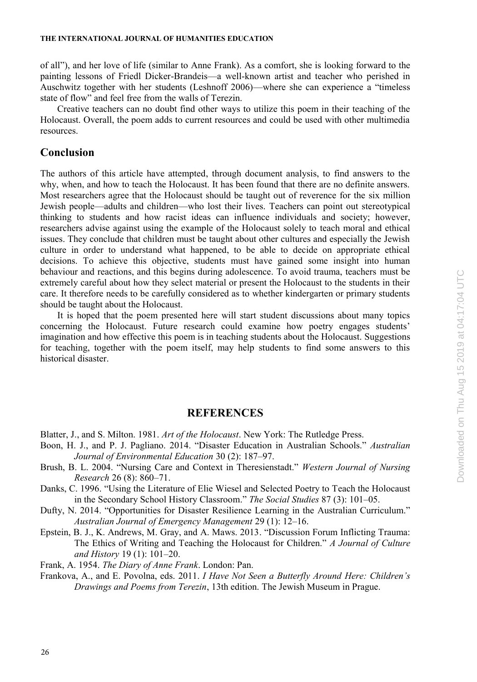#### **THE INTERNATIONAL JOURNAL OF HUMANITIES EDUCATION**

of all"), and her love of life (similar to Anne Frank). As a comfort, she is looking forward to the painting lessons of Friedl Dicker-Brandeis—a well-known artist and teacher who perished in Auschwitz together with her students (Leshnoff 2006)—where she can experience a "timeless state of flow" and feel free from the walls of Terezin.

Creative teachers can no doubt find other ways to utilize this poem in their teaching of the Holocaust. Overall, the poem adds to current resources and could be used with other multimedia resources.

## **Conclusion**

The authors of this article have attempted, through document analysis, to find answers to the why, when, and how to teach the Holocaust. It has been found that there are no definite answers. Most researchers agree that the Holocaust should be taught out of reverence for the six million Jewish people—adults and children—who lost their lives. Teachers can point out stereotypical thinking to students and how racist ideas can influence individuals and society; however, researchers advise against using the example of the Holocaust solely to teach moral and ethical issues. They conclude that children must be taught about other cultures and especially the Jewish culture in order to understand what happened, to be able to decide on appropriate ethical decisions. To achieve this objective, students must have gained some insight into human behaviour and reactions, and this begins during adolescence. To avoid trauma, teachers must be extremely careful about how they select material or present the Holocaust to the students in their care. It therefore needs to be carefully considered as to whether kindergarten or primary students should be taught about the Holocaust.

It is hoped that the poem presented here will start student discussions about many topics concerning the Holocaust. Future research could examine how poetry engages students' imagination and how effective this poem is in teaching students about the Holocaust. Suggestions for teaching, together with the poem itself, may help students to find some answers to this historical disaster.

## **REFERENCES**

Blatter, J., and S. Milton. 1981. *Art of the Holocaust*. New York: The Rutledge Press.

- Boon, H. J., and P. J. Pagliano. 2014. "Disaster Education in Australian Schools." *Australian Journal of Environmental Education* 30 (2): 187–97.
- Brush, B. L. 2004. "Nursing Care and Context in Theresienstadt." *Western Journal of Nursing Research* 26 (8): 860–71.
- Danks, C. 1996. "Using the Literature of Elie Wiesel and Selected Poetry to Teach the Holocaust in the Secondary School History Classroom." *The Social Studies* 87 (3): 101–05.

Dufty, N. 2014. "Opportunities for Disaster Resilience Learning in the Australian Curriculum." *Australian Journal of Emergency Management* 29 (1): 12–16.

Epstein, B. J., K. Andrews, M. Gray, and A. Maws. 2013. "Discussion Forum Inflicting Trauma: The Ethics of Writing and Teaching the Holocaust for Children." *A Journal of Culture and History* 19 (1): 101–20.

Frank, A. 1954. *The Diary of Anne Frank*. London: Pan.

Frankova, A., and E. Povolna, eds. 2011. *I Have Not Seen a Butterfly Around Here: Children's Drawings and Poems from Terezin*, 13th edition. The Jewish Museum in Prague.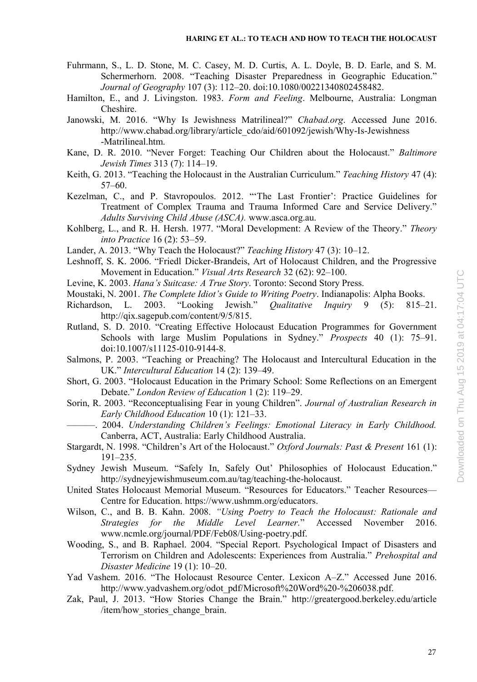- Fuhrmann, S., L. D. Stone, M. C. Casey, M. D. Curtis, A. L. Doyle, B. D. Earle, and S. M. Schermerhorn. 2008. "Teaching Disaster Preparedness in Geographic Education." *Journal of Geography* 107 (3): 112–20. doi:10.1080/00221340802458482.
- Hamilton, E., and J. Livingston. 1983. *Form and Feeling*. Melbourne, Australia: Longman Cheshire.
- Janowski, M. 2016. "Why Is Jewishness Matrilineal?" *Chabad.org*. Accessed June 2016. http://www.chabad.org/library/article\_cdo/aid/601092/jewish/Why-Is-Jewishness -Matrilineal.htm.
- Kane, D. R. 2010. "Never Forget: Teaching Our Children about the Holocaust." *Baltimore Jewish Times* 313 (7): 114–19.
- Keith, G. 2013. "Teaching the Holocaust in the Australian Curriculum." *Teaching History* 47 (4): 57–60.
- Kezelman, C., and P. Stavropoulos. 2012. "'The Last Frontier': Practice Guidelines for Treatment of Complex Trauma and Trauma Informed Care and Service Delivery." *Adults Surviving Child Abuse (ASCA).* www.asca.org.au.
- Kohlberg, L., and R. H. Hersh. 1977. "Moral Development: A Review of the Theory." *Theory into Practice* 16 (2): 53–59.
- Lander, A. 2013. "Why Teach the Holocaust?" *Teaching History* 47 (3): 10–12.
- Leshnoff, S. K. 2006. "Friedl Dicker-Brandeis, Art of Holocaust Children, and the Progressive Movement in Education." *Visual Arts Research* 32 (62): 92–100.
- Levine, K. 2003. *Hana's Suitcase: A True Story*. Toronto: Second Story Press.
- Moustaki, N. 2001. *The Complete Idiot's Guide to Writing Poetry*. Indianapolis: Alpha Books.
- Richardson, L. 2003. "Looking Jewish." *Qualitative Inquiry* 9 (5): 815–21. http://qix.sagepub.com/content/9/5/815.
- Rutland, S. D. 2010. "Creating Effective Holocaust Education Programmes for Government Schools with large Muslim Populations in Sydney." *Prospects* 40 (1): 75–91. doi:10.1007/s11125-010-9144-8.
- Salmons, P. 2003. "Teaching or Preaching? The Holocaust and Intercultural Education in the UK." *Intercultural Education* 14 (2): 139–49.
- Short, G. 2003. "Holocaust Education in the Primary School: Some Reflections on an Emergent Debate." *London Review of Education* 1 (2): 119–29.
- Sorin, R. 2003. "Reconceptualising Fear in young Children". *Journal of Australian Research in Early Childhood Education* 10 (1): 121–33.
- ———. 2004. *Understanding Children's Feelings: Emotional Literacy in Early Childhood.* Canberra, ACT, Australia: Early Childhood Australia.
- Stargardt, N. 1998. "Children's Art of the Holocaust." *Oxford Journals: Past & Present* 161 (1): 191–235.
- Sydney Jewish Museum. "Safely In, Safely Out' Philosophies of Holocaust Education." http://sydneyjewishmuseum.com.au/tag/teaching-the-holocaust.
- United States Holocaust Memorial Museum. "Resources for Educators." Teacher Resources— Centre for Education. https://www.ushmm.org/educators.
- Wilson, C., and B. B. Kahn. 2008. *"Using Poetry to Teach the Holocaust: Rationale and Strategies for the Middle Level Learner.*" Accessed November 2016. www.ncmle.org/journal/PDF/Feb08/Using-poetry.pdf.
- Wooding, S., and B. Raphael. 2004. "Special Report. Psychological Impact of Disasters and Terrorism on Children and Adolescents: Experiences from Australia." *Prehospital and Disaster Medicine* 19 (1): 10–20.
- Yad Vashem. 2016. "The Holocaust Resource Center. Lexicon A–Z." Accessed June 2016. http://www.yadvashem.org/odot\_pdf/Microsoft%20Word%20-%206038.pdf.
- Zak, Paul, J. 2013. "How Stories Change the Brain." http://greatergood.berkeley.edu/article /item/how stories change brain.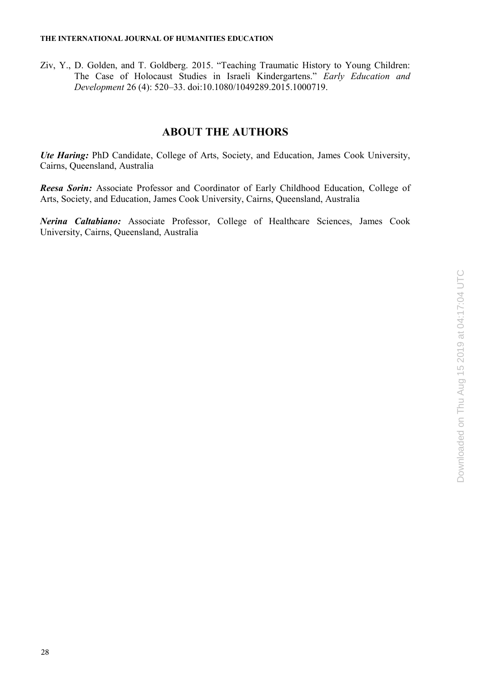Ziv, Y., D. Golden, and T. Goldberg. 2015. "Teaching Traumatic History to Young Children: The Case of Holocaust Studies in Israeli Kindergartens." *Early Education and Development* 26 (4): 520–33. doi:10.1080/1049289.2015.1000719.

## **ABOUT THE AUTHORS**

*Ute Haring:* PhD Candidate, College of Arts, Society, and Education, James Cook University, Cairns, Queensland, Australia

*Reesa Sorin:* Associate Professor and Coordinator of Early Childhood Education, College of Arts, Society, and Education, James Cook University, Cairns, Queensland, Australia

*Nerina Caltabiano:* Associate Professor, College of Healthcare Sciences, James Cook University, Cairns, Queensland, Australia